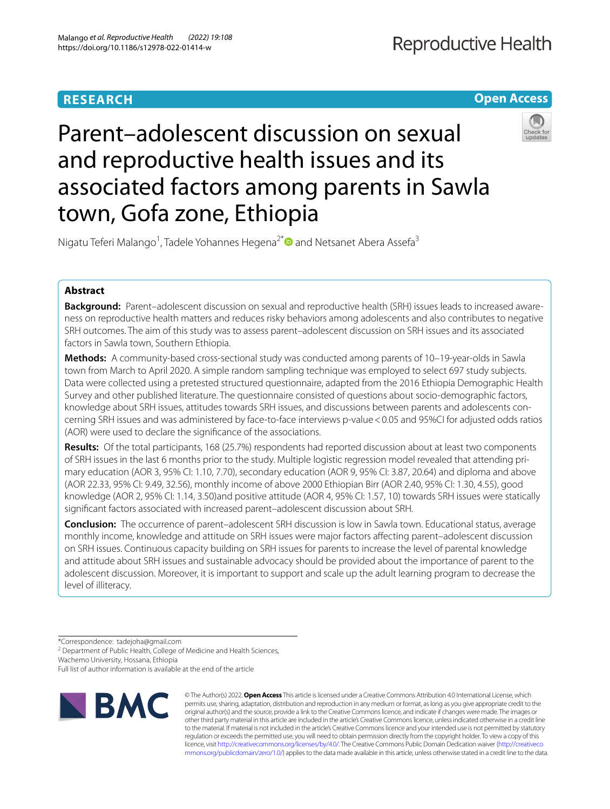# **RESEARCH**

## **Open Access**

# Parent–adolescent discussion on sexual and reproductive health issues and its associated factors among parents in Sawla town, Gofa zone, Ethiopia



Nigatu Teferi Malango<sup>1</sup>, Tadele Yohannes Hegena<sup>2[\\*](http://orcid.org/0000-0003-3631-0484)</sup> and Netsanet Abera Assefa<sup>3</sup>

## **Abstract**

**Background:** Parent–adolescent discussion on sexual and reproductive health (SRH) issues leads to increased awareness on reproductive health matters and reduces risky behaviors among adolescents and also contributes to negative SRH outcomes. The aim of this study was to assess parent–adolescent discussion on SRH issues and its associated factors in Sawla town, Southern Ethiopia.

**Methods:** A community-based cross-sectional study was conducted among parents of 10–19-year-olds in Sawla town from March to April 2020. A simple random sampling technique was employed to select 697 study subjects. Data were collected using a pretested structured questionnaire, adapted from the 2016 Ethiopia Demographic Health Survey and other published literature. The questionnaire consisted of questions about socio-demographic factors, knowledge about SRH issues, attitudes towards SRH issues, and discussions between parents and adolescents concerning SRH issues and was administered by face-to-face interviews p-value<0.05 and 95%CI for adjusted odds ratios (AOR) were used to declare the signifcance of the associations.

**Results:** Of the total participants, 168 (25.7%) respondents had reported discussion about at least two components of SRH issues in the last 6 months prior to the study. Multiple logistic regression model revealed that attending primary education (AOR 3, 95% CI: 1.10, 7.70), secondary education (AOR 9, 95% CI: 3.87, 20.64) and diploma and above (AOR 22.33, 95% CI: 9.49, 32.56), monthly income of above 2000 Ethiopian Birr (AOR 2.40, 95% CI: 1.30, 4.55), good knowledge (AOR 2, 95% CI: 1.14, 3.50)and positive attitude (AOR 4, 95% CI: 1.57, 10) towards SRH issues were statically signifcant factors associated with increased parent–adolescent discussion about SRH.

**Conclusion:** The occurrence of parent–adolescent SRH discussion is low in Sawla town. Educational status, average monthly income, knowledge and attitude on SRH issues were major factors afecting parent–adolescent discussion on SRH issues. Continuous capacity building on SRH issues for parents to increase the level of parental knowledge and attitude about SRH issues and sustainable advocacy should be provided about the importance of parent to the adolescent discussion. Moreover, it is important to support and scale up the adult learning program to decrease the level of illiteracy.

<sup>2</sup> Department of Public Health, College of Medicine and Health Sciences,

Wachemo University, Hossana, Ethiopia

Full list of author information is available at the end of the article



© The Author(s) 2022. **Open Access** This article is licensed under a Creative Commons Attribution 4.0 International License, which permits use, sharing, adaptation, distribution and reproduction in any medium or format, as long as you give appropriate credit to the original author(s) and the source, provide a link to the Creative Commons licence, and indicate if changes were made. The images or other third party material in this article are included in the article's Creative Commons licence, unless indicated otherwise in a credit line to the material. If material is not included in the article's Creative Commons licence and your intended use is not permitted by statutory regulation or exceeds the permitted use, you will need to obtain permission directly from the copyright holder. To view a copy of this licence, visit [http://creativecommons.org/licenses/by/4.0/.](http://creativecommons.org/licenses/by/4.0/) The Creative Commons Public Domain Dedication waiver ([http://creativeco](http://creativecommons.org/publicdomain/zero/1.0/) [mmons.org/publicdomain/zero/1.0/](http://creativecommons.org/publicdomain/zero/1.0/)) applies to the data made available in this article, unless otherwise stated in a credit line to the data.

<sup>\*</sup>Correspondence: tadejoha@gmail.com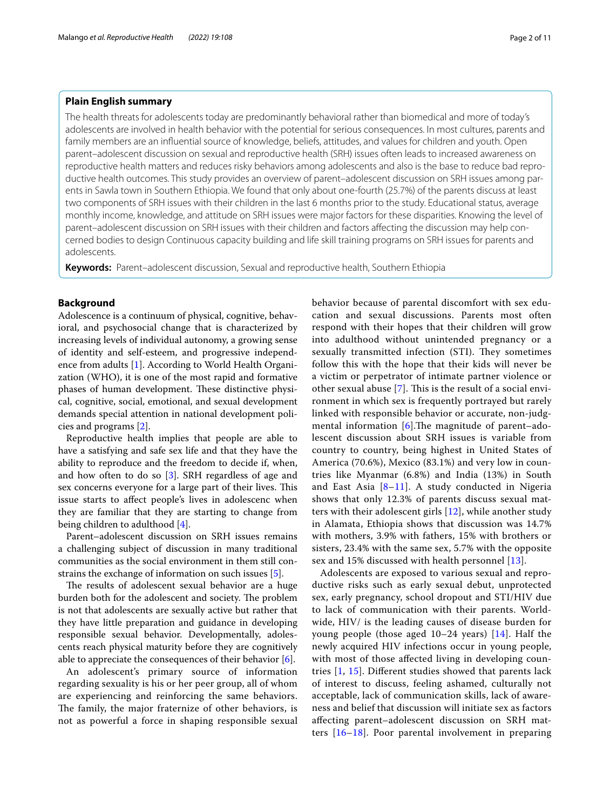## **Plain English summary**

The health threats for adolescents today are predominantly behavioral rather than biomedical and more of today's adolescents are involved in health behavior with the potential for serious consequences. In most cultures, parents and family members are an infuential source of knowledge, beliefs, attitudes, and values for children and youth. Open parent–adolescent discussion on sexual and reproductive health (SRH) issues often leads to increased awareness on reproductive health matters and reduces risky behaviors among adolescents and also is the base to reduce bad reproductive health outcomes. This study provides an overview of parent–adolescent discussion on SRH issues among parents in Sawla town in Southern Ethiopia. We found that only about one-fourth (25.7%) of the parents discuss at least two components of SRH issues with their children in the last 6 months prior to the study. Educational status, average monthly income, knowledge, and attitude on SRH issues were major factors for these disparities. Knowing the level of parent–adolescent discussion on SRH issues with their children and factors afecting the discussion may help concerned bodies to design Continuous capacity building and life skill training programs on SRH issues for parents and adolescents.

**Keywords:** Parent–adolescent discussion, Sexual and reproductive health, Southern Ethiopia

## **Background**

Adolescence is a continuum of physical, cognitive, behavioral, and psychosocial change that is characterized by increasing levels of individual autonomy, a growing sense of identity and self-esteem, and progressive independence from adults [[1\]](#page-9-0). According to World Health Organization (WHO), it is one of the most rapid and formative phases of human development. These distinctive physical, cognitive, social, emotional, and sexual development demands special attention in national development policies and programs [[2\]](#page-9-1).

Reproductive health implies that people are able to have a satisfying and safe sex life and that they have the ability to reproduce and the freedom to decide if, when, and how often to do so [[3](#page-9-2)]. SRH regardless of age and sex concerns everyone for a large part of their lives. This issue starts to afect people's lives in adolescenc when they are familiar that they are starting to change from being children to adulthood [[4\]](#page-9-3).

Parent–adolescent discussion on SRH issues remains a challenging subject of discussion in many traditional communities as the social environment in them still constrains the exchange of information on such issues [[5\]](#page-9-4).

The results of adolescent sexual behavior are a huge burden both for the adolescent and society. The problem is not that adolescents are sexually active but rather that they have little preparation and guidance in developing responsible sexual behavior. Developmentally, adolescents reach physical maturity before they are cognitively able to appreciate the consequences of their behavior [\[6](#page-9-5)].

An adolescent's primary source of information regarding sexuality is his or her peer group, all of whom are experiencing and reinforcing the same behaviors. The family, the major fraternize of other behaviors, is not as powerful a force in shaping responsible sexual behavior because of parental discomfort with sex education and sexual discussions. Parents most often respond with their hopes that their children will grow into adulthood without unintended pregnancy or a sexually transmitted infection (STI). They sometimes follow this with the hope that their kids will never be a victim or perpetrator of intimate partner violence or other sexual abuse  $[7]$  $[7]$  $[7]$ . This is the result of a social environment in which sex is frequently portrayed but rarely linked with responsible behavior or accurate, non-judgmental information  $[6]$  $[6]$ . The magnitude of parent–adolescent discussion about SRH issues is variable from country to country, being highest in United States of America (70.6%), Mexico (83.1%) and very low in countries like Myanmar (6.8%) and India (13%) in South and East Asia  $[8-11]$  $[8-11]$ . A study conducted in Nigeria shows that only 12.3% of parents discuss sexual matters with their adolescent girls [[12\]](#page-9-9), while another study in Alamata, Ethiopia shows that discussion was 14.7% with mothers, 3.9% with fathers, 15% with brothers or sisters, 23.4% with the same sex, 5.7% with the opposite sex and 15% discussed with health personnel [[13\]](#page-9-10).

Adolescents are exposed to various sexual and reproductive risks such as early sexual debut, unprotected sex, early pregnancy, school dropout and STI/HIV due to lack of communication with their parents. Worldwide, HIV/ is the leading causes of disease burden for young people (those aged 10–24 years) [\[14](#page-9-11)]. Half the newly acquired HIV infections occur in young people, with most of those afected living in developing countries [[1,](#page-9-0) [15](#page-9-12)]. Diferent studies showed that parents lack of interest to discuss, feeling ashamed, culturally not acceptable, lack of communication skills, lack of awareness and belief that discussion will initiate sex as factors afecting parent–adolescent discussion on SRH matters [\[16](#page-9-13)[–18\]](#page-9-14). Poor parental involvement in preparing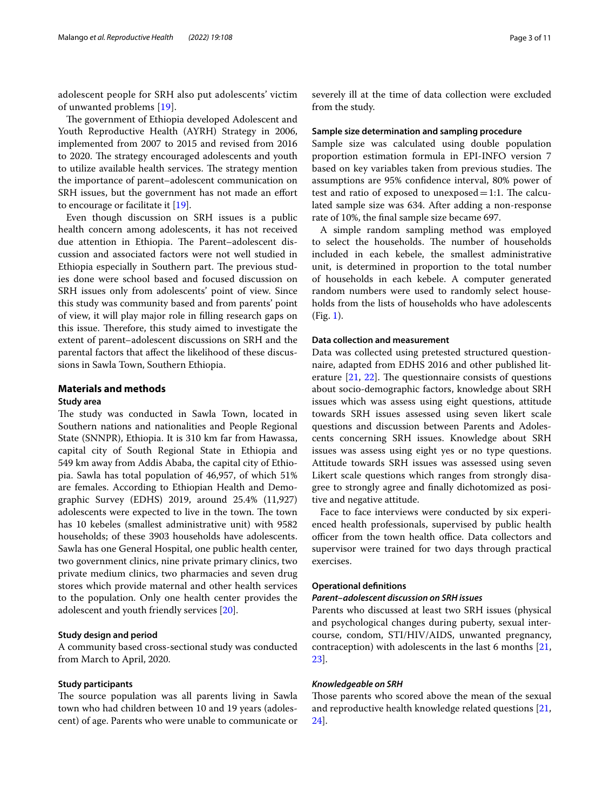adolescent people for SRH also put adolescents' victim of unwanted problems [[19\]](#page-9-15).

The government of Ethiopia developed Adolescent and Youth Reproductive Health (AYRH) Strategy in 2006, implemented from 2007 to 2015 and revised from 2016 to 2020. The strategy encouraged adolescents and youth to utilize available health services. The strategy mention the importance of parent–adolescent communication on SRH issues, but the government has not made an effort to encourage or facilitate it [[19\]](#page-9-15).

Even though discussion on SRH issues is a public health concern among adolescents, it has not received due attention in Ethiopia. The Parent–adolescent discussion and associated factors were not well studied in Ethiopia especially in Southern part. The previous studies done were school based and focused discussion on SRH issues only from adolescents' point of view. Since this study was community based and from parents' point of view, it will play major role in flling research gaps on this issue. Therefore, this study aimed to investigate the extent of parent–adolescent discussions on SRH and the parental factors that afect the likelihood of these discussions in Sawla Town, Southern Ethiopia.

## **Materials and methods**

## **Study area**

The study was conducted in Sawla Town, located in Southern nations and nationalities and People Regional State (SNNPR), Ethiopia. It is 310 km far from Hawassa, capital city of South Regional State in Ethiopia and 549 km away from Addis Ababa, the capital city of Ethiopia. Sawla has total population of 46,957, of which 51% are females. According to Ethiopian Health and Demographic Survey (EDHS) 2019, around 25.4% (11,927) adolescents were expected to live in the town. The town has 10 kebeles (smallest administrative unit) with 9582 households; of these 3903 households have adolescents. Sawla has one General Hospital, one public health center, two government clinics, nine private primary clinics, two private medium clinics, two pharmacies and seven drug stores which provide maternal and other health services to the population. Only one health center provides the adolescent and youth friendly services [\[20](#page-9-16)].

## **Study design and period**

A community based cross-sectional study was conducted from March to April, 2020.

## **Study participants**

The source population was all parents living in Sawla town who had children between 10 and 19 years (adolescent) of age. Parents who were unable to communicate or

severely ill at the time of data collection were excluded from the study.

#### **Sample size determination and sampling procedure**

Sample size was calculated using double population proportion estimation formula in EPI-INFO version 7 based on key variables taken from previous studies. The assumptions are 95% confdence interval, 80% power of test and ratio of exposed to unexposed  $=1:1$ . The calculated sample size was 634. After adding a non-response rate of 10%, the fnal sample size became 697.

A simple random sampling method was employed to select the households. The number of households included in each kebele, the smallest administrative unit, is determined in proportion to the total number of households in each kebele. A computer generated random numbers were used to randomly select households from the lists of households who have adolescents (Fig. [1\)](#page-3-0).

## **Data collection and measurement**

Data was collected using pretested structured questionnaire, adapted from EDHS 2016 and other published literature  $[21, 22]$  $[21, 22]$  $[21, 22]$ . The questionnaire consists of questions about socio-demographic factors, knowledge about SRH issues which was assess using eight questions, attitude towards SRH issues assessed using seven likert scale questions and discussion between Parents and Adolescents concerning SRH issues. Knowledge about SRH issues was assess using eight yes or no type questions. Attitude towards SRH issues was assessed using seven Likert scale questions which ranges from strongly disagree to strongly agree and fnally dichotomized as positive and negative attitude.

Face to face interviews were conducted by six experienced health professionals, supervised by public health officer from the town health office. Data collectors and supervisor were trained for two days through practical exercises.

## **Operational defnitions**

#### *Parent–adolescent discussion on SRH issues*

Parents who discussed at least two SRH issues (physical and psychological changes during puberty, sexual intercourse, condom, STI/HIV/AIDS, unwanted pregnancy, contraception) with adolescents in the last 6 months [[21](#page-9-17), [23\]](#page-9-19).

## *Knowledgeable on SRH*

Those parents who scored above the mean of the sexual and reproductive health knowledge related questions [[21](#page-9-17), [24\]](#page-9-20).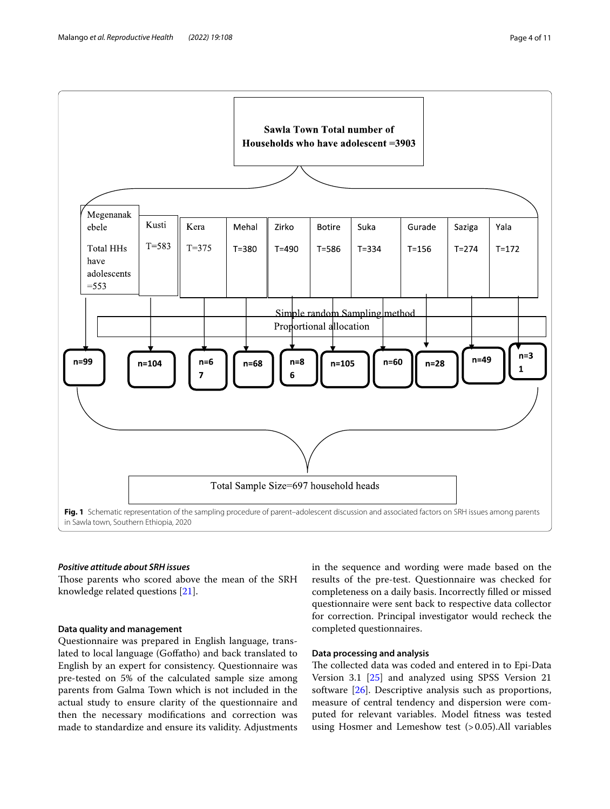

## <span id="page-3-0"></span>*Positive attitude about SRH issues*

Those parents who scored above the mean of the SRH knowledge related questions [\[21\]](#page-9-17).

## **Data quality and management**

Questionnaire was prepared in English language, translated to local language (Gofatho) and back translated to English by an expert for consistency. Questionnaire was pre-tested on 5% of the calculated sample size among parents from Galma Town which is not included in the actual study to ensure clarity of the questionnaire and then the necessary modifcations and correction was made to standardize and ensure its validity. Adjustments

in the sequence and wording were made based on the results of the pre-test. Questionnaire was checked for completeness on a daily basis. Incorrectly flled or missed questionnaire were sent back to respective data collector for correction. Principal investigator would recheck the completed questionnaires.

## **Data processing and analysis**

The collected data was coded and entered in to Epi-Data Version 3.1 [\[25\]](#page-9-21) and analyzed using SPSS Version 21 software [[26\]](#page-9-22). Descriptive analysis such as proportions, measure of central tendency and dispersion were computed for relevant variables. Model ftness was tested using Hosmer and Lemeshow test  $(>0.05)$ . All variables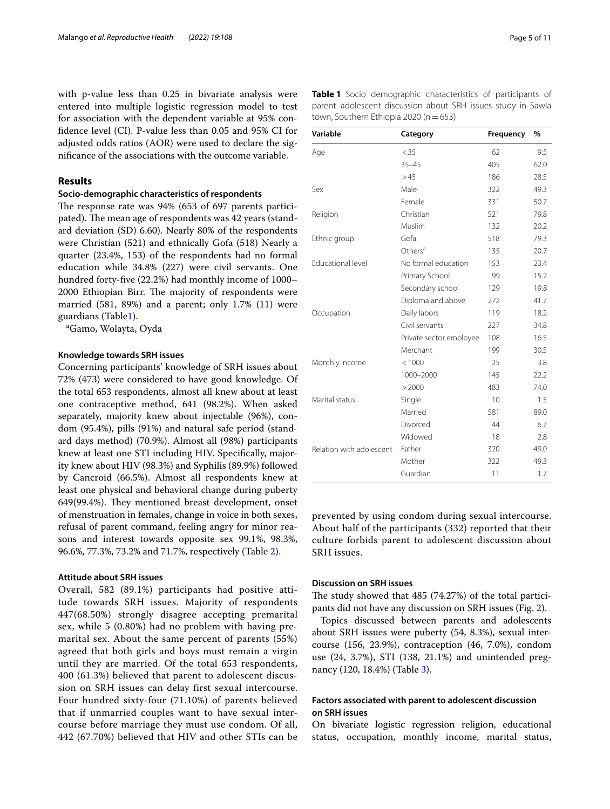with p-value less than 0.25 in bivariate analysis were entered into multiple logistic regression model to test for association with the dependent variable at 95% confdence level (CI). P-value less than 0.05 and 95% CI for adjusted odds ratios (AOR) were used to declare the signifcance of the associations with the outcome variable.

## **Results**

## **Socio‑demographic characteristics of respondents**

The response rate was 94% (653 of 697 parents participated). The mean age of respondents was 42 years (standard deviation (SD) 6.60). Nearly 80% of the respondents were Christian (521) and ethnically Gofa (518) Nearly a quarter (23.4%, 153) of the respondents had no formal education while 34.8% (227) were civil servants. One hundred forty-fve (22.2%) had monthly income of 1000– 2000 Ethiopian Birr. The majority of respondents were married (581, 89%) and a parent; only 1.7% (11) were guardians (Table[1\)](#page-4-0).

<sup>a</sup>Gamo, Wolayta, Oy<mark>d</mark>a

## **Knowledge towards SRH issues**

Concerning participants' knowledge of SRH issues about 72% (473) were considered to have good knowledge. Of the total 653 respondents, almost all knew about at least one contraceptive method, 641 (98.2%). When asked separately, majority knew about injectable (96%), condom (95.4%), pills (91%) and natural safe period (standard days method) (70.9%). Almost all (98%) participants knew at least one STI including HIV. Specifcally, majority knew about HIV (98.3%) and Syphilis (89.9%) followed by Cancroid (66.5%). Almost all respondents knew at least one physical and behavioral change during puberty 649(99.4%). They mentioned breast development, onset of menstruation in females, change in voice in both sexes, refusal of parent command, feeling angry for minor reasons and interest towards opposite sex 99.1%, 98.3%, 96.6%, 77.3%, 73.2% and 71.7%, respectively (Table [2\)](#page-5-0).

## **Attitude about SRH issues**

Overall, 582 (89.1%) participants had positive attitude towards SRH issues. Majority of respondents 447(68.50%) strongly disagree accepting premarital sex, while 5 (0.80%) had no problem with having premarital sex. About the same percent of parents (55%) agreed that both girls and boys must remain a virgin until they are married. Of the total 653 respondents, 400 (61.3%) believed that parent to adolescent discussion on SRH issues can delay first sexual intercourse. Four hundred sixty-four (71.10%) of parents believed that if unmarried couples want to have sexual intercourse before marriage they must use condom. Of all, 442 (67.70%) believed that HIV and other STIs can be

| parent-adolescent discussion about SRH issues study in Sawla<br>town, Southern Ethiopia 2020 (n = 653) |           |           |      |  |  |
|--------------------------------------------------------------------------------------------------------|-----------|-----------|------|--|--|
| Variable                                                                                               | Category  | Frequency | $\%$ |  |  |
| Age                                                                                                    | < 35      | 62        | 9.5  |  |  |
|                                                                                                        | $35 - 45$ | 405       | 62.0 |  |  |
|                                                                                                        | >45       | 186       | 28.5 |  |  |

<span id="page-4-0"></span>**Table 1** Socio demographic characteristics of participants of

|                          | >45                     | 186 | 28.5 |
|--------------------------|-------------------------|-----|------|
| Sex                      | Male                    | 322 | 49.3 |
|                          | Female                  | 331 | 50.7 |
| Religion                 | Christian               | 521 | 79.8 |
|                          | Muslim                  | 132 | 20.2 |
| Ethnic group             | Gofa                    | 518 | 79.3 |
|                          | Others <sup>a</sup>     | 135 | 20.7 |
| <b>Educational level</b> | No formal education     | 153 | 23.4 |
|                          | Primary School          | 99  | 15.2 |
|                          | Secondary school        | 129 | 19.8 |
|                          | Diploma and above       | 272 | 41.7 |
| Occupation               | Daily labors            | 119 | 18.2 |
|                          | Civil servants          | 227 | 34.8 |
|                          | Private sector employee | 108 | 16.5 |
|                          | Merchant                | 199 | 30.5 |
| Monthly income           | < 1000                  | 25  | 3.8  |
|                          | 1000-2000               | 145 | 22.2 |
|                          | >2000                   | 483 | 74.0 |
| Marital status           | Single                  | 10  | 1.5  |
|                          | Married                 | 581 | 89.0 |
|                          | Divorced                | 44  | 6.7  |
|                          | Widowed                 | 18  | 2.8  |
| Relation with adolescent | Father                  | 320 | 49.0 |
|                          | Mother                  | 322 | 49.3 |
|                          | Guardian                | 11  | 1.7  |

prevented by using condom during sexual intercourse. About half of the participants (332) reported that their culture forbids parent to adolescent discussion about SRH issues.

#### **Discussion on SRH issues**

The study showed that  $485$  (74.27%) of the total participants did not have any discussion on SRH issues (Fig. [2\)](#page-5-1).

Topics discussed between parents and adolescents about SRH issues were puberty (54, 8.3%), sexual intercourse (156, 23.9%), contraception (46, 7.0%), condom use (24, 3.7%), STI (138, 21.1%) and unintended pregnancy (120, 18.4%) (Table [3](#page-5-2)).

## **Factors associated with parent to adolescent discussion on SRH issues**

On bivariate logistic regression religion, educational status, occupation, monthly income, marital status,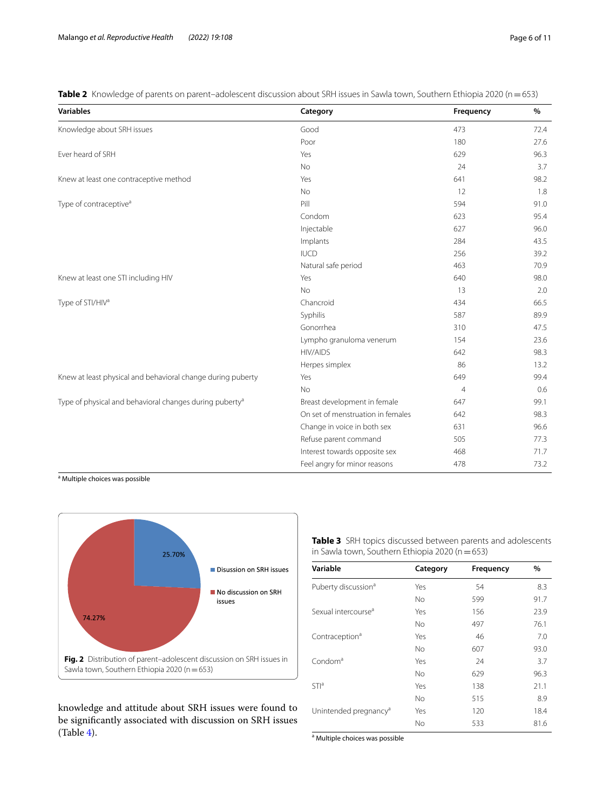<span id="page-5-0"></span>**Table 2** Knowledge of parents on parent–adolescent discussion about SRH issues in Sawla town, Southern Ethiopia 2020 (n=653)

| <b>Variables</b>                                                    | Category                          | Frequency | $\%$ |
|---------------------------------------------------------------------|-----------------------------------|-----------|------|
| Knowledge about SRH issues                                          | Good                              | 473       | 72.4 |
|                                                                     | Poor                              | 180       | 27.6 |
| Ever heard of SRH                                                   | Yes                               | 629       | 96.3 |
|                                                                     | No                                | 24        | 3.7  |
| Knew at least one contraceptive method                              | Yes                               | 641       | 98.2 |
|                                                                     | No                                | 12        | 1.8  |
| Type of contraceptive <sup>a</sup>                                  | Pill                              | 594       | 91.0 |
|                                                                     | Condom                            | 623       | 95.4 |
|                                                                     | Injectable                        | 627       | 96.0 |
|                                                                     | Implants                          | 284       | 43.5 |
|                                                                     | <b>IUCD</b>                       | 256       | 39.2 |
|                                                                     | Natural safe period               | 463       | 70.9 |
| Knew at least one STI including HIV                                 | Yes                               | 640       | 98.0 |
|                                                                     | <b>No</b>                         | 13        | 2.0  |
| Type of STI/HIV <sup>a</sup>                                        | Chancroid                         | 434       | 66.5 |
|                                                                     | Syphilis                          | 587       | 89.9 |
|                                                                     | Gonorrhea                         | 310       | 47.5 |
|                                                                     | Lympho granuloma venerum          | 154       | 23.6 |
|                                                                     | <b>HIV/AIDS</b>                   | 642       | 98.3 |
|                                                                     | Herpes simplex                    | 86        | 13.2 |
| Knew at least physical and behavioral change during puberty         | Yes                               | 649       | 99.4 |
|                                                                     | <b>No</b>                         | 4         | 0.6  |
| Type of physical and behavioral changes during puberty <sup>a</sup> | Breast development in female      | 647       | 99.1 |
|                                                                     | On set of menstruation in females | 642       | 98.3 |
|                                                                     | Change in voice in both sex       | 631       | 96.6 |
|                                                                     | Refuse parent command             | 505       | 77.3 |
|                                                                     | Interest towards opposite sex     | 468       | 71.7 |
|                                                                     | Feel angry for minor reasons      | 478       | 73.2 |

<sup>a</sup> Multiple choices was possible



<span id="page-5-1"></span>knowledge and attitude about SRH issues were found to be signifcantly associated with discussion on SRH issues (Table [4](#page-6-0)).

<span id="page-5-2"></span>**Table 3** SRH topics discussed between parents and adolescents in Sawla town, Southern Ethiopia 2020 (n=653)

| Variable                          | Category  | Frequency | %    |
|-----------------------------------|-----------|-----------|------|
| Puberty discussion <sup>a</sup>   | Yes       | 54        | 8.3  |
|                                   | <b>No</b> | 599       | 91.7 |
| Sexual intercourse <sup>a</sup>   | Yes       | 156       | 23.9 |
|                                   | No        | 497       | 76.1 |
| Contraception <sup>a</sup>        | Yes       | 46        | 7.0  |
|                                   | <b>No</b> | 607       | 93.0 |
| Condom <sup>a</sup>               | Yes       | 24        | 3.7  |
|                                   | <b>No</b> | 629       | 96.3 |
| $STl^a$                           | Yes       | 138       | 21.1 |
|                                   | <b>No</b> | 515       | 8.9  |
| Unintended pregnancy <sup>a</sup> | Yes       | 120       | 18.4 |
|                                   | No        | 533       | 81.6 |

<sup>a</sup> Multiple choices was possible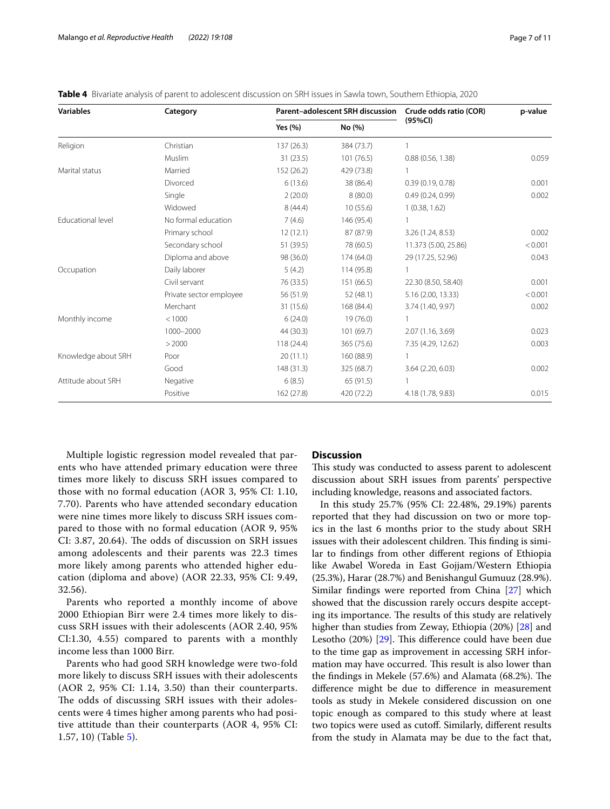| <b>Variables</b>    | Category                | Parent-adolescent SRH discussion |            | Crude odds ratio (COR) | p-value |
|---------------------|-------------------------|----------------------------------|------------|------------------------|---------|
|                     |                         | Yes $(\% )$                      | No (%)     | (95%CI)                |         |
| Religion            | Christian               | 137 (26.3)                       | 384 (73.7) | $\mathbf{1}$           |         |
|                     | Muslim                  | 31(23.5)                         | 101 (76.5) | 0.88(0.56, 1.38)       | 0.059   |
| Marital status      | Married                 | 152 (26.2)                       | 429 (73.8) |                        |         |
|                     | Divorced                | 6(13.6)                          | 38 (86.4)  | 0.39(0.19, 0.78)       | 0.001   |
|                     | Single                  | 2(20.0)                          | 8(80.0)    | 0.49(0.24, 0.99)       | 0.002   |
|                     | Widowed                 | 8(44.4)                          | 10(55.6)   | 1(0.38, 1.62)          |         |
| Educational level   | No formal education     | 7(4.6)                           | 146 (95.4) |                        |         |
|                     | Primary school          | 12(12.1)                         | 87 (87.9)  | 3.26 (1.24, 8.53)      | 0.002   |
|                     | Secondary school        | 51 (39.5)                        | 78 (60.5)  | 11.373 (5.00, 25.86)   | < 0.001 |
|                     | Diploma and above       | 98 (36.0)                        | 174 (64.0) | 29 (17.25, 52.96)      | 0.043   |
| Occupation          | Daily laborer           | 5(4.2)                           | 114 (95.8) |                        |         |
|                     | Civil servant           | 76 (33.5)                        | 151 (66.5) | 22.30 (8.50, 58.40)    | 0.001   |
|                     | Private sector employee | 56 (51.9)                        | 52 (48.1)  | 5.16 (2.00, 13.33)     | < 0.001 |
|                     | Merchant                | 31 (15.6)                        | 168 (84.4) | 3.74 (1.40, 9.97)      | 0.002   |
| Monthly income      | < 1000                  | 6(24.0)                          | 19 (76.0)  |                        |         |
|                     | 1000-2000               | 44 (30.3)                        | 101 (69.7) | 2.07 (1.16, 3.69)      | 0.023   |
|                     | >2000                   | 118 (24.4)                       | 365 (75.6) | 7.35 (4.29, 12.62)     | 0.003   |
| Knowledge about SRH | Poor                    | 20(11.1)                         | 160 (88.9) |                        |         |
|                     | Good                    | 148 (31.3)                       | 325 (68.7) | 3.64 (2.20, 6.03)      | 0.002   |
| Attitude about SRH  | Negative                | 6(8.5)                           | 65(91.5)   |                        |         |
|                     | Positive                | 162 (27.8)                       | 420 (72.2) | 4.18 (1.78, 9.83)      | 0.015   |

<span id="page-6-0"></span>

|  |  |  |  |  | Table 4 Bivariate analysis of parent to adolescent discussion on SRH issues in Sawla town, Southern Ethiopia, 2020 |  |
|--|--|--|--|--|--------------------------------------------------------------------------------------------------------------------|--|
|--|--|--|--|--|--------------------------------------------------------------------------------------------------------------------|--|

Multiple logistic regression model revealed that parents who have attended primary education were three times more likely to discuss SRH issues compared to those with no formal education (AOR 3, 95% CI: 1.10, 7.70). Parents who have attended secondary education were nine times more likely to discuss SRH issues compared to those with no formal education (AOR 9, 95% CI: 3.87, 20.64). The odds of discussion on SRH issues among adolescents and their parents was 22.3 times more likely among parents who attended higher education (diploma and above) (AOR 22.33, 95% CI: 9.49, 32.56).

Parents who reported a monthly income of above 2000 Ethiopian Birr were 2.4 times more likely to discuss SRH issues with their adolescents (AOR 2.40, 95% CI:1.30, 4.55) compared to parents with a monthly income less than 1000 Birr.

Parents who had good SRH knowledge were two-fold more likely to discuss SRH issues with their adolescents (AOR 2, 95% CI: 1.14, 3.50) than their counterparts. The odds of discussing SRH issues with their adolescents were 4 times higher among parents who had positive attitude than their counterparts (AOR 4, 95% CI: 1.57, 10) (Table [5\)](#page-7-0).

## **Discussion**

This study was conducted to assess parent to adolescent discussion about SRH issues from parents' perspective including knowledge, reasons and associated factors.

In this study 25.7% (95% CI: 22.48%, 29.19%) parents reported that they had discussion on two or more topics in the last 6 months prior to the study about SRH issues with their adolescent children. This finding is similar to fndings from other diferent regions of Ethiopia like Awabel Woreda in East Gojjam/Western Ethiopia (25.3%), Harar (28.7%) and Benishangul Gumuuz (28.9%). Similar fndings were reported from China [\[27](#page-9-23)] which showed that the discussion rarely occurs despite accepting its importance. The results of this study are relatively higher than studies from Zeway, Ethiopia (20%) [\[28](#page-9-24)] and Lesotho  $(20%)$   $[29]$  $[29]$ . This difference could have been due to the time gap as improvement in accessing SRH information may have occurred. This result is also lower than the findings in Mekele  $(57.6%)$  and Alamata  $(68.2%)$ . The diference might be due to diference in measurement tools as study in Mekele considered discussion on one topic enough as compared to this study where at least two topics were used as cutof. Similarly, diferent results from the study in Alamata may be due to the fact that,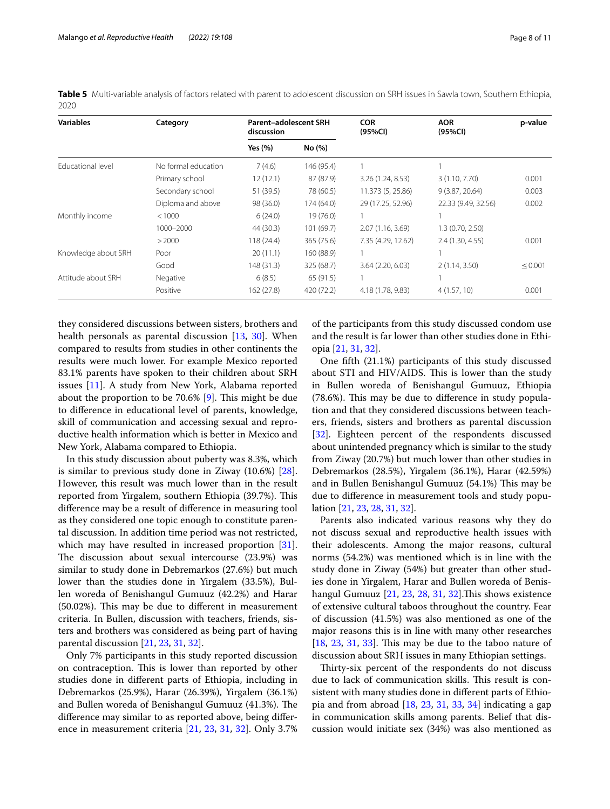<span id="page-7-0"></span>**Table 5** Multi-variable analysis of factors related with parent to adolescent discussion on SRH issues in Sawla town, Southern Ethiopia, 2020

| <b>Variables</b>    | Category            | <b>Parent-adolescent SRH</b><br>discussion |            | <b>COR</b><br>(95%CI) | <b>AOR</b><br>(95%CI) | p-value |
|---------------------|---------------------|--------------------------------------------|------------|-----------------------|-----------------------|---------|
|                     |                     | Yes $(\% )$                                | No (%)     |                       |                       |         |
| Educational level   | No formal education | 7(4.6)                                     | 146 (95.4) |                       |                       |         |
|                     | Primary school      | 12(12.1)                                   | 87 (87.9)  | 3.26 (1.24, 8.53)     | 3(1.10, 7.70)         | 0.001   |
|                     | Secondary school    | 51 (39.5)                                  | 78 (60.5)  | 11.373 (5, 25.86)     | 9(3.87, 20.64)        | 0.003   |
|                     | Diploma and above   | 98 (36.0)                                  | 174 (64.0) | 29 (17.25, 52.96)     | 22.33 (9.49, 32.56)   | 0.002   |
| Monthly income      | < 1000              | 6(24.0)                                    | 19 (76.0)  |                       |                       |         |
|                     | 1000-2000           | 44 (30.3)                                  | 101 (69.7) | 2.07 (1.16, 3.69)     | 1.3(0.70, 2.50)       |         |
|                     | >2000               | 118(24.4)                                  | 365 (75.6) | 7.35 (4.29, 12.62)    | 2.4 (1.30, 4.55)      | 0.001   |
| Knowledge about SRH | Poor                | 20(11.1)                                   | 160 (88.9) |                       |                       |         |
|                     | Good                | 148 (31.3)                                 | 325 (68.7) | 3.64 (2.20, 6.03)     | 2(1.14, 3.50)         | < 0.001 |
| Attitude about SRH  | Negative            | 6(8.5)                                     | 65(91.5)   |                       |                       |         |
|                     | Positive            | 162 (27.8)                                 | 420 (72.2) | 4.18 (1.78, 9.83)     | 4(1.57, 10)           | 0.001   |

they considered discussions between sisters, brothers and health personals as parental discussion [[13](#page-9-10), [30\]](#page-10-1). When compared to results from studies in other continents the results were much lower. For example Mexico reported 83.1% parents have spoken to their children about SRH issues [[11](#page-9-8)]. A study from New York, Alabama reported about the proportion to be  $70.6\%$  [[9\]](#page-9-25). This might be due to diference in educational level of parents, knowledge, skill of communication and accessing sexual and reproductive health information which is better in Mexico and New York, Alabama compared to Ethiopia.

In this study discussion about puberty was 8.3%, which is similar to previous study done in Ziway (10.6%) [\[28](#page-9-24)]. However, this result was much lower than in the result reported from Yirgalem, southern Ethiopia (39.7%). This diference may be a result of diference in measuring tool as they considered one topic enough to constitute parental discussion. In addition time period was not restricted, which may have resulted in increased proportion [\[31](#page-10-2)]. The discussion about sexual intercourse (23.9%) was similar to study done in Debremarkos (27.6%) but much lower than the studies done in Yirgalem (33.5%), Bullen woreda of Benishangul Gumuuz (42.2%) and Harar (50.02%). This may be due to different in measurement criteria. In Bullen, discussion with teachers, friends, sisters and brothers was considered as being part of having parental discussion [[21](#page-9-17), [23,](#page-9-19) [31](#page-10-2), [32\]](#page-10-3).

Only 7% participants in this study reported discussion on contraception. This is lower than reported by other studies done in diferent parts of Ethiopia, including in Debremarkos (25.9%), Harar (26.39%), Yirgalem (36.1%) and Bullen woreda of Benishangul Gumuuz (41.3%). The diference may similar to as reported above, being diference in measurement criteria [[21](#page-9-17), [23,](#page-9-19) [31,](#page-10-2) [32\]](#page-10-3). Only 3.7% of the participants from this study discussed condom use and the result is far lower than other studies done in Ethiopia [[21,](#page-9-17) [31,](#page-10-2) [32](#page-10-3)].

One ffth (21.1%) participants of this study discussed about STI and HIV/AIDS. This is lower than the study in Bullen woreda of Benishangul Gumuuz, Ethiopia  $(78.6%)$ . This may be due to difference in study population and that they considered discussions between teachers, friends, sisters and brothers as parental discussion [[32\]](#page-10-3). Eighteen percent of the respondents discussed about unintended pregnancy which is similar to the study from Ziway (20.7%) but much lower than other studies in Debremarkos (28.5%), Yirgalem (36.1%), Harar (42.59%) and in Bullen Benishangul Gumuuz (54.1%) This may be due to diference in measurement tools and study population [[21,](#page-9-17) [23,](#page-9-19) [28](#page-9-24), [31,](#page-10-2) [32](#page-10-3)].

Parents also indicated various reasons why they do not discuss sexual and reproductive health issues with their adolescents. Among the major reasons, cultural norms (54.2%) was mentioned which is in line with the study done in Ziway (54%) but greater than other studies done in Yirgalem, Harar and Bullen woreda of Benishangul Gumuuz  $[21, 23, 28, 31, 32]$  $[21, 23, 28, 31, 32]$  $[21, 23, 28, 31, 32]$  $[21, 23, 28, 31, 32]$  $[21, 23, 28, 31, 32]$  $[21, 23, 28, 31, 32]$  $[21, 23, 28, 31, 32]$  $[21, 23, 28, 31, 32]$  $[21, 23, 28, 31, 32]$  $[21, 23, 28, 31, 32]$ . This shows existence of extensive cultural taboos throughout the country. Fear of discussion (41.5%) was also mentioned as one of the major reasons this is in line with many other researches  $[18, 23, 31, 33]$  $[18, 23, 31, 33]$  $[18, 23, 31, 33]$  $[18, 23, 31, 33]$  $[18, 23, 31, 33]$  $[18, 23, 31, 33]$  $[18, 23, 31, 33]$  $[18, 23, 31, 33]$  $[18, 23, 31, 33]$ . This may be due to the taboo nature of discussion about SRH issues in many Ethiopian settings.

Thirty-six percent of the respondents do not discuss due to lack of communication skills. This result is consistent with many studies done in diferent parts of Ethiopia and from abroad [\[18,](#page-9-14) [23](#page-9-19), [31](#page-10-2), [33](#page-10-4), [34](#page-10-5)] indicating a gap in communication skills among parents. Belief that discussion would initiate sex (34%) was also mentioned as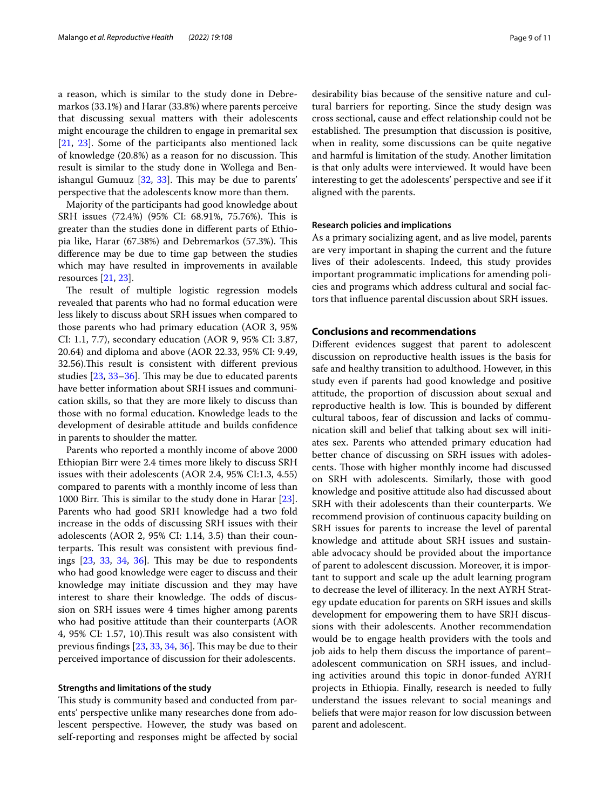a reason, which is similar to the study done in Debremarkos (33.1%) and Harar (33.8%) where parents perceive that discussing sexual matters with their adolescents might encourage the children to engage in premarital sex [[21,](#page-9-17) [23\]](#page-9-19). Some of the participants also mentioned lack of knowledge (20.8%) as a reason for no discussion. This result is similar to the study done in Wollega and Benishangul Gumuuz  $[32, 33]$  $[32, 33]$  $[32, 33]$  $[32, 33]$  $[32, 33]$ . This may be due to parents' perspective that the adolescents know more than them.

Majority of the participants had good knowledge about SRH issues (72.4%) (95% CI: 68.91%, 75.76%). This is greater than the studies done in diferent parts of Ethiopia like, Harar (67.38%) and Debremarkos (57.3%). This diference may be due to time gap between the studies which may have resulted in improvements in available resources [\[21,](#page-9-17) [23](#page-9-19)].

The result of multiple logistic regression models revealed that parents who had no formal education were less likely to discuss about SRH issues when compared to those parents who had primary education (AOR 3, 95% CI: 1.1, 7.7), secondary education (AOR 9, 95% CI: 3.87, 20.64) and diploma and above (AOR 22.33, 95% CI: 9.49, 32.56). This result is consistent with different previous studies  $[23, 33-36]$  $[23, 33-36]$  $[23, 33-36]$  $[23, 33-36]$ . This may be due to educated parents have better information about SRH issues and communication skills, so that they are more likely to discuss than those with no formal education. Knowledge leads to the development of desirable attitude and builds confdence in parents to shoulder the matter.

Parents who reported a monthly income of above 2000 Ethiopian Birr were 2.4 times more likely to discuss SRH issues with their adolescents (AOR 2.4, 95% CI:1.3, 4.55) compared to parents with a monthly income of less than 1000 Birr. This is similar to the study done in Harar [\[23](#page-9-19)]. Parents who had good SRH knowledge had a two fold increase in the odds of discussing SRH issues with their adolescents (AOR 2, 95% CI: 1.14, 3.5) than their counterparts. This result was consistent with previous findings  $[23, 33, 34, 36]$  $[23, 33, 34, 36]$  $[23, 33, 34, 36]$  $[23, 33, 34, 36]$  $[23, 33, 34, 36]$  $[23, 33, 34, 36]$  $[23, 33, 34, 36]$  $[23, 33, 34, 36]$ . This may be due to respondents who had good knowledge were eager to discuss and their knowledge may initiate discussion and they may have interest to share their knowledge. The odds of discussion on SRH issues were 4 times higher among parents who had positive attitude than their counterparts (AOR 4, 95% CI: 1.57, 10).Tis result was also consistent with previous findings  $[23, 33, 34, 36]$  $[23, 33, 34, 36]$  $[23, 33, 34, 36]$  $[23, 33, 34, 36]$  $[23, 33, 34, 36]$  $[23, 33, 34, 36]$ . This may be due to their perceived importance of discussion for their adolescents.

#### **Strengths and limitations of the study**

This study is community based and conducted from parents' perspective unlike many researches done from adolescent perspective. However, the study was based on self-reporting and responses might be afected by social desirability bias because of the sensitive nature and cultural barriers for reporting. Since the study design was cross sectional, cause and efect relationship could not be established. The presumption that discussion is positive, when in reality, some discussions can be quite negative and harmful is limitation of the study. Another limitation is that only adults were interviewed. It would have been interesting to get the adolescents' perspective and see if it aligned with the parents.

#### **Research policies and implications**

As a primary socializing agent, and as live model, parents are very important in shaping the current and the future lives of their adolescents. Indeed, this study provides important programmatic implications for amending policies and programs which address cultural and social factors that infuence parental discussion about SRH issues.

## **Conclusions and recommendations**

Diferent evidences suggest that parent to adolescent discussion on reproductive health issues is the basis for safe and healthy transition to adulthood. However, in this study even if parents had good knowledge and positive attitude, the proportion of discussion about sexual and reproductive health is low. This is bounded by different cultural taboos, fear of discussion and lacks of communication skill and belief that talking about sex will initiates sex. Parents who attended primary education had better chance of discussing on SRH issues with adolescents. Those with higher monthly income had discussed on SRH with adolescents. Similarly, those with good knowledge and positive attitude also had discussed about SRH with their adolescents than their counterparts. We recommend provision of continuous capacity building on SRH issues for parents to increase the level of parental knowledge and attitude about SRH issues and sustainable advocacy should be provided about the importance of parent to adolescent discussion. Moreover, it is important to support and scale up the adult learning program to decrease the level of illiteracy. In the next AYRH Strategy update education for parents on SRH issues and skills development for empowering them to have SRH discussions with their adolescents. Another recommendation would be to engage health providers with the tools and job aids to help them discuss the importance of parent– adolescent communication on SRH issues, and including activities around this topic in donor-funded AYRH projects in Ethiopia. Finally, research is needed to fully understand the issues relevant to social meanings and beliefs that were major reason for low discussion between parent and adolescent.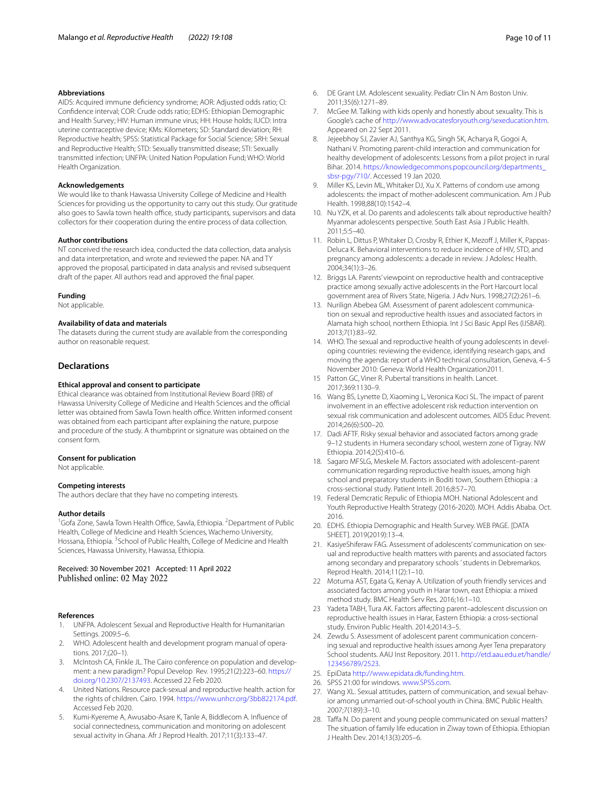## **Abbreviations**

AIDS: Acquired immune defciency syndrome; AOR: Adjusted odds ratio; CI: Confdence interval; COR: Crude odds ratio; EDHS: Ethiopian Demographic and Health Survey; HIV: Human immune virus; HH: House holds; IUCD: Intra uterine contraceptive device; KMs: Kilometers; SD: Standard deviation; RH: Reproductive health; SPSS: Statistical Package for Social Science; SRH: Sexual and Reproductive Health; STD: Sexually transmitted disease; STI: Sexually transmitted infection; UNFPA: United Nation Population Fund; WHO: World Health Organization.

#### **Acknowledgements**

We would like to thank Hawassa University College of Medicine and Health Sciences for providing us the opportunity to carry out this study. Our gratitude also goes to Sawla town health office, study participants, supervisors and data collectors for their cooperation during the entire process of data collection.

## **Author contributions**

NT conceived the research idea, conducted the data collection, data analysis and data interpretation, and wrote and reviewed the paper. NA and TY approved the proposal, participated in data analysis and revised subsequent draft of the paper. All authors read and approved the fnal paper.

#### **Funding**

Not applicable.

#### **Availability of data and materials**

The datasets during the current study are available from the corresponding author on reasonable request.

#### **Declarations**

#### **Ethical approval and consent to participate**

Ethical clearance was obtained from Institutional Review Board (IRB) of Hawassa University College of Medicine and Health Sciences and the official letter was obtained from Sawla Town health office. Written informed consent was obtained from each participant after explaining the nature, purpose and procedure of the study. A thumbprint or signature was obtained on the consent form.

#### **Consent for publication**

Not applicable.

#### **Competing interests**

The authors declare that they have no competing interests.

#### **Author details**

<sup>1</sup>Gofa Zone, Sawla Town Health Office, Sawla, Ethiopia. <sup>2</sup> Department of Public Health, College of Medicine and Health Sciences, Wachemo University, Hossana, Ethiopia. <sup>3</sup> School of Public Health, College of Medicine and Health Sciences, Hawassa University, Hawassa, Ethiopia.

## Received: 30 November 2021 Accepted: 11 April 2022 Published online: 02 May 2022

#### **References**

- <span id="page-9-0"></span>1. UNFPA. Adolescent Sexual and Reproductive Health for Humanitarian Settings. 2009:5–6.
- <span id="page-9-1"></span>2. WHO. Adolescent health and development program manual of operations. 2017;(20–1).
- <span id="page-9-2"></span>3. McIntosh CA, Finkle JL. The Cairo conference on population and development: a new paradigm? Popul Develop Rev. 1995;21(2):223–60. [https://](https://doi.org/10.2307/2137493) [doi.org/10.2307/2137493](https://doi.org/10.2307/2137493). Accessed 22 Feb 2020.
- <span id="page-9-3"></span>4. United Nations. Resource pack-sexual and reproductive health. action for the rights of children. Cairo. 1994. [https://www.unhcr.org/3bb822174.pdf.](https://www.unhcr.org/3bb822174.pdf) Accessed Feb 2020.
- <span id="page-9-4"></span>5. Kumi-Kyereme A, Awusabo-Asare K, Tanle A, Biddlecom A. Infuence of social connectedness, communication and monitoring on adolescent sexual activity in Ghana. Afr J Reprod Health. 2017;11(3):133–47.
- <span id="page-9-5"></span>6. DE Grant LM. Adolescent sexuality. Pediatr Clin N Am Boston Univ. 2011;35(6):1271–89.
- <span id="page-9-6"></span>7. McGee M. Talking with kids openly and honestly about sexuality. This is Google's cache of [http://www.advocatesforyouth.org/sexeducation.htm.](http://www.advocatesforyouth.org/sexeducation.htm) Appeared on 22 Sept 2011.
- <span id="page-9-7"></span>8. Jejeebhoy SJ, Zavier AJ, Santhya KG, Singh SK, Acharya R, Gogoi A, Nathani V. Promoting parent-child interaction and communication for healthy development of adolescents: Lessons from a pilot project in rural Bihar. 2014. [https://knowledgecommons.popcouncil.org/departments\\_](https://knowledgecommons.popcouncil.org/departments_sbsr-pgy/710/) [sbsr-pgy/710/.](https://knowledgecommons.popcouncil.org/departments_sbsr-pgy/710/) Accessed 19 Jan 2020.
- <span id="page-9-25"></span>9. Miller KS, Levin ML, Whitaker DJ, Xu X. Patterns of condom use among adolescents: the impact of mother-adolescent communication. Am J Pub Health. 1998;88(10):1542–4.
- 10. Nu YZK, et al. Do parents and adolescents talk about reproductive health? Myanmar adolescents perspective. South East Asia J Public Health. 2011;5:5–40.
- <span id="page-9-8"></span>11. Robin L, Dittus P, Whitaker D, Crosby R, Ethier K, Mezoff J, Miller K, Pappas-Deluca K. Behavioral interventions to reduce incidence of HIV, STD, and pregnancy among adolescents: a decade in review. J Adolesc Health. 2004;34(1):3–26.
- <span id="page-9-9"></span>12. Briggs LA. Parents' viewpoint on reproductive health and contraceptive practice among sexually active adolescents in the Port Harcourt local government area of Rivers State, Nigeria. J Adv Nurs. 1998;27(2):261–6.
- <span id="page-9-10"></span>13. Nurilign Abebea GM. Assessment of parent adolescent communication on sexual and reproductive health issues and associated factors in Alamata high school, northern Ethiopia. Int J Sci Basic Appl Res (IJSBAR). 2013;7(1):83–92.
- <span id="page-9-11"></span>14. WHO. The sexual and reproductive health of young adolescents in developing countries: reviewing the evidence, identifying research gaps, and moving the agenda: report of a WHO technical consultation, Geneva, 4–5 November 2010: Geneva: World Health Organization2011.
- <span id="page-9-12"></span>15 Patton GC, Viner R. Pubertal transitions in health. Lancet. 2017;369:1130–9.
- <span id="page-9-13"></span>16. Wang BS, Lynette D, Xiaoming L, Veronica Koci SL. The impact of parent involvement in an efective adolescent risk reduction intervention on sexual risk communication and adolescent outcomes. AIDS Educ Prevent. 2014;26(6):500–20.
- 17. Dadi AFTF. Risky sexual behavior and associated factors among grade 9–12 students in Humera secondary school, western zone of Tigray. NW Ethiopia. 2014;2(5):410–6.
- <span id="page-9-14"></span>18. Sagaro MFSLG, Meskele M. Factors associated with adolescent–parent communication regarding reproductive health issues, among high school and preparatory students in Boditi town, Southern Ethiopia : a cross-sectional study. Patient Intell. 2016;8:57–70.
- <span id="page-9-15"></span>19. Federal Demcratic Repulic of Ethiopia MOH. National Adolescent and Youth Reproductive Health Strategy (2016-2020). MOH. Addis Ababa. Oct. 2016.
- <span id="page-9-16"></span>20. EDHS. Ethiopia Demographic and Health Survey. WEB PAGE. [DATA SHEET]. 2019(2019):13–4.
- <span id="page-9-17"></span>21. KasiyeShiferaw FAG. Assessment of adolescents' communication on sexual and reproductive health matters with parents and associated factors among secondary and preparatory schools ' students in Debremarkos. Reprod Health. 2014;11(2):1–10.
- <span id="page-9-18"></span>22 Motuma AST, Egata G, Kenay A. Utilization of youth friendly services and associated factors among youth in Harar town, east Ethiopia: a mixed method study. BMC Health Serv Res. 2016;16:1–10.
- <span id="page-9-19"></span>23 Yadeta TABH, Tura AK. Factors afecting parent–adolescent discussion on reproductive health issues in Harar, Eastern Ethiopia: a cross-sectional study. Environ Public Health. 2014;2014:3–5.
- <span id="page-9-20"></span>24. Zewdu S. Assessment of adolescent parent communication concerning sexual and reproductive health issues among Ayer Tena preparatory School students. AAU Inst Repository. 2011. [http://etd.aau.edu.et/handle/](http://etd.aau.edu.et/handle/123456789/2523) [123456789/2523.](http://etd.aau.edu.et/handle/123456789/2523)
- <span id="page-9-21"></span>25. EpiData <http://www.epidata.dk/funding.htm>.
- <span id="page-9-22"></span>26. SPSS 21:00 for windows. [www.SPSS.com](http://www.SPSS.com).
- <span id="page-9-23"></span>27. Wang XL. Sexual attitudes, pattern of communication, and sexual behavior among unmarried out-of-school youth in China. BMC Public Health. 2007;7(189):3–10.
- <span id="page-9-24"></span>28. Taffa N. Do parent and young people communicated on sexual matters? The situation of family life education in Ziway town of Ethiopia. Ethiopian J Health Dev. 2014;13(3):205–6.